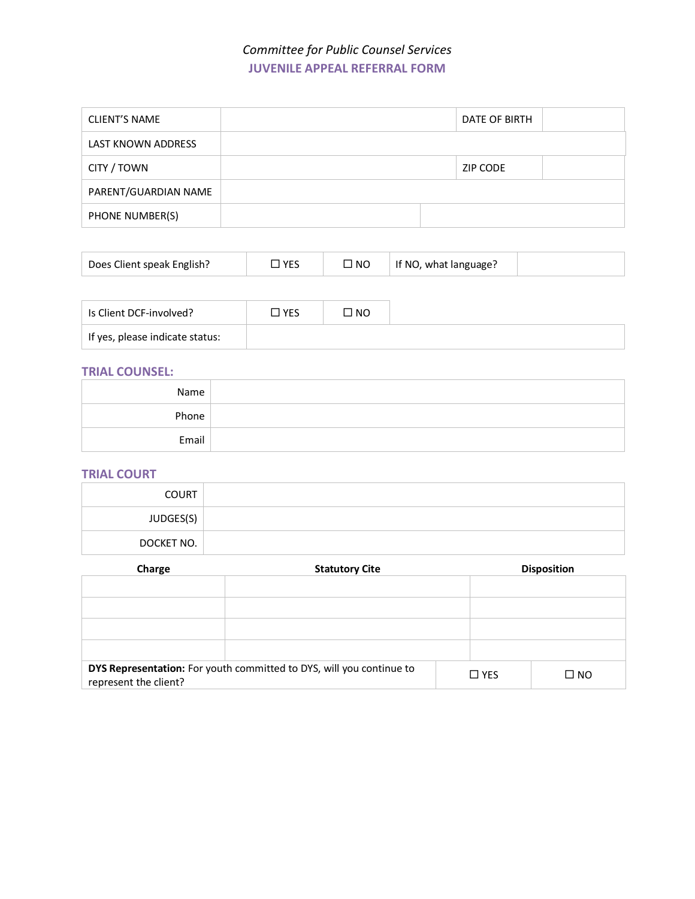# *Committee for Public Counsel Services* **JUVENILE APPEAL REFERRAL FORM**

| <b>CLIENT'S NAME</b>      |  | DATE OF BIRTH |  |
|---------------------------|--|---------------|--|
| <b>LAST KNOWN ADDRESS</b> |  |               |  |
| CITY / TOWN               |  | ZIP CODE      |  |
| PARENT/GUARDIAN NAME      |  |               |  |
| PHONE NUMBER(S)           |  |               |  |

| Does Client speak English? | <b>VES</b> | —<br><b>NC</b> | If NO, what language? |  |
|----------------------------|------------|----------------|-----------------------|--|
|----------------------------|------------|----------------|-----------------------|--|

| Is Client DCF-involved?           | $\square$ YES | ON C' |
|-----------------------------------|---------------|-------|
| l If yes, please indicate status: |               |       |

## **TRIAL COUNSEL:**

| Name  |  |
|-------|--|
| Phone |  |
| Email |  |

### **TRIAL COURT**

| <b>COURT</b> |  |
|--------------|--|
| JUDGES(S)    |  |
| DOCKET NO.   |  |

| Charge                | <b>Statutory Cite</b>                                                |  | <b>Disposition</b> |              |  |
|-----------------------|----------------------------------------------------------------------|--|--------------------|--------------|--|
|                       |                                                                      |  |                    |              |  |
|                       |                                                                      |  |                    |              |  |
|                       |                                                                      |  |                    |              |  |
|                       |                                                                      |  |                    |              |  |
|                       |                                                                      |  |                    |              |  |
| represent the client? | DYS Representation: For youth committed to DYS, will you continue to |  | $\Box$ YES         | $\square$ NO |  |